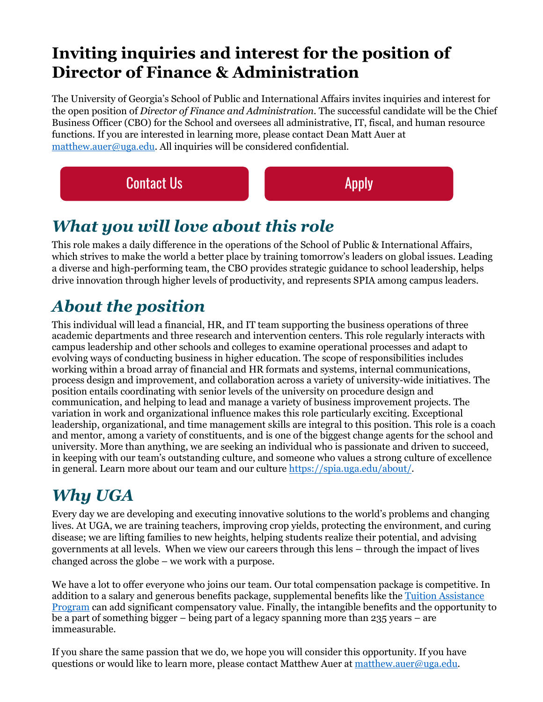#### **Inviting inquiries and interest for the position of Director of Finance & Administration**

The University of Georgia's School of Public and International Affairs invites inquiries and interest for the open position of *Director of Finance and Administration.* The successful candidate will be the Chief Business Officer (CBO) for the School and oversees all administrative, IT, fiscal, and human resource functions. If you are interested in learning more, please contact Dean Matt Auer at [matthew.auer@uga.edu.](mailto:matthew.auer@uga.edu) All inquiries will be considered confidential.

**[Contact Us](mailto:matthew.auer@uga.edu) [Apply](https://www.ugajobsearch.com/postings/258581) Contact Us** Apply

## *What you will love about this role*

This role makes a daily difference in the operations of the School of Public & International Affairs, which strives to make the world a better place by training tomorrow's leaders on global issues. Leading a diverse and high-performing team, the CBO provides strategic guidance to school leadership, helps drive innovation through higher levels of productivity, and represents SPIA among campus leaders.

# *About the position*

This individual will lead a financial, HR, and IT team supporting the business operations of three academic departments and three research and intervention centers. This role regularly interacts with campus leadership and other schools and colleges to examine operational processes and adapt to evolving ways of conducting business in higher education. The scope of responsibilities includes working within a broad array of financial and HR formats and systems, internal communications, process design and improvement, and collaboration across a variety of university-wide initiatives. The position entails coordinating with senior levels of the university on procedure design and communication, and helping to lead and manage a variety of business improvement projects. The variation in work and organizational influence makes this role particularly exciting. Exceptional leadership, organizational, and time management skills are integral to this position. This role is a coach and mentor, among a variety of constituents, and is one of the biggest change agents for the school and university. More than anything, we are seeking an individual who is passionate and driven to succeed, in keeping with our team's outstanding culture, and someone who values a strong culture of excellence in general. Learn more about our team and our culture [https://spia.uga.edu/about/.](https://spia.uga.edu/about/)

# *Why UGA*

Every day we are developing and executing innovative solutions to the world's problems and changing lives. At UGA, we are training teachers, improving crop yields, protecting the environment, and curing disease; we are lifting families to new heights, helping students realize their potential, and advising governments at all levels. When we view our careers through this lens – through the impact of lives changed across the globe – we work with a purpose.

We have a lot to offer everyone who joins our team. Our total compensation package is competitive. In addition to a salary and generous benefits package, supplemental benefits like th[e Tuition Assistance](https://reg.uga.edu/faculty-and-staff/tap/)  [Program](https://reg.uga.edu/faculty-and-staff/tap/) can add significant compensatory value. Finally, the intangible benefits and the opportunity to be a part of something bigger – being part of a legacy spanning more than 235 years – are immeasurable.

If you share the same passion that we do, we hope you will consider this opportunity. If you have questions or would like to learn more, please contact Matthew Auer at [matthew.auer@uga.edu.](mailto:matthew.auer@uga.edu)